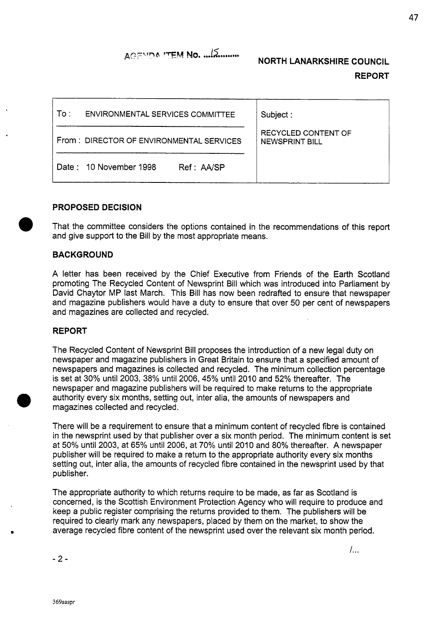## **ACEMDA ITEM No.** *....***/** $\overline{\lambda}$ **.......... NORTH LANARKSHIRE COUNCIL**

# **REPORT**

*I...* 

| To :<br>ENVIRONMENTAL SERVICES COMMITTEE | Subject:                              |
|------------------------------------------|---------------------------------------|
| From: DIRECTOR OF ENVIRONMENTAL SERVICES | RECYCLED CONTENT OF<br>NEWSPRINT BILL |
| Date: 10 November 1998<br>Ref: AA/SP     |                                       |

### **PROPOSED DECISION**

That the committee considers the options contained in the recommendations of this report and give support to the Bill by the most appropriate means.

### **BACKGROUND**

**A** letter has been received by the Chief Executive from Friends of the Earth Scotland promoting The Recycled Content of Newsprint Bill which was introduced into Parliament by David Chaytor MP last March. This Bill has now been redrafted to ensure that newspaper and magazine publishers would have a duty to ensure that over 50 per cent of newspapers and magazines are collected and recycled.

### **REPORT**

The Recycled Content of Newsprint Bill proposes the introduction of a new legal duty on newspaper and magazine publishers in Great Britain to ensure that a specified amount of newspapers and magazines is collected and recycled. The minimum collection percentage is set at 30% until 2003, 38% until 2006, 45% until 2010 and 52% thereafter. The newspaper and magazine publishers will be required to make returns to the appropriate authority every six months, setting out, inter alia, the amounts of newspapers and magazines collected and recycled.

There will be a requirement to ensure that a minimum content of recycled fibre is contained in the newsprint used by that publisher over a six month period. The minimum content is set at 50% until 2003, at 65% until 2006, at 70% until 2010 and 80% thereafter. **A** newspaper publisher will be required to make a return to the appropriate authority every six months setting out, inter alia, the amounts of recycled fibre contained in the newsprint used by that publisher.

The appropriate authority to which returns require to be made, as far as Scotland is concerned, is the Scottish Environment Protection Agency who will require to produce and keep a public register comprising the returns provided to them. The publishers will be required to clearly mark any newspapers, placed by them on the market, to show the average recycled fibre content of the newsprint used over the relevant six month period.

-2-